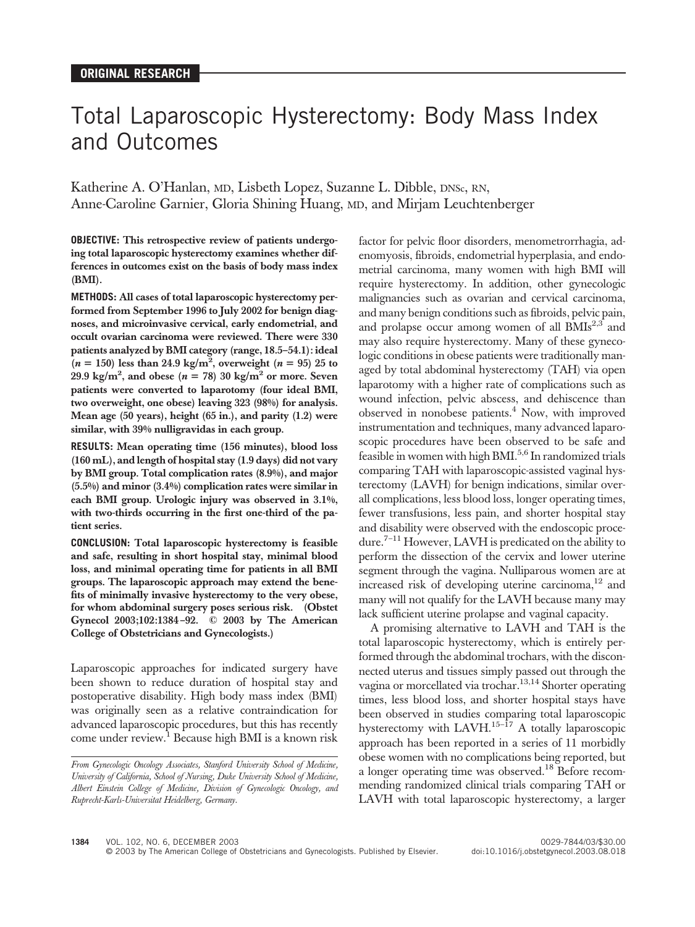# Total Laparoscopic Hysterectomy: Body Mass Index and Outcomes

Katherine A. O'Hanlan, MD, Lisbeth Lopez, Suzanne L. Dibble, DNSc, RN, Anne-Caroline Garnier, Gloria Shining Huang, MD, and Mirjam Leuchtenberger

**OBJECTIVE:** This retrospective review of patients undergoing total laparoscopic hysterectomy examines whether differences in outcomes exist on the basis of body mass index (BMI).

**METHODS:** All cases of total laparoscopic hysterectomy performed from September 1996 to July 2002 for benign diagnoses, and microinvasive cervical, early endometrial, and occult ovarian carcinoma were reviewed. There were 330 patients analyzed by BMI category (range, 18.5–54.1): ideal  $(n = 150)$  less than 24.9 kg/m<sup>2</sup>, overweight  $(n = 95)$  25 to  $29.9 \text{ kg/m}^2$ , and obese ( $n = 78$ )  $30 \text{ kg/m}^2$  or more. Seven patients were converted to laparotomy (four ideal BMI, two overweight, one obese) leaving 323 (98%) for analysis. Mean age (50 years), height (65 in.), and parity (1.2) were similar, with 39% nulligravidas in each group.

**RESULTS:** Mean operating time (156 minutes), blood loss (160 mL), and length of hospital stay (1.9 days) did not vary by BMI group. Total complication rates (8.9%), and major (5.5%) and minor (3.4%) complication rates were similar in each BMI group. Urologic injury was observed in 3.1%, with two-thirds occurring in the first one-third of the patient series.

**CONCLUSION:** Total laparoscopic hysterectomy is feasible and safe, resulting in short hospital stay, minimal blood loss, and minimal operating time for patients in all BMI groups. The laparoscopic approach may extend the benefits of minimally invasive hysterectomy to the very obese, for whom abdominal surgery poses serious risk. (Obstet Gynecol 2003;102:1384–92. © 2003 by The American College of Obstetricians and Gynecologists.)

Laparoscopic approaches for indicated surgery have been shown to reduce duration of hospital stay and postoperative disability. High body mass index (BMI) was originally seen as a relative contraindication for advanced laparoscopic procedures, but this has recently come under review.<sup>1</sup> Because high BMI is a known risk

factor for pelvic floor disorders, menometrorrhagia, adenomyosis, fibroids, endometrial hyperplasia, and endometrial carcinoma, many women with high BMI will require hysterectomy. In addition, other gynecologic malignancies such as ovarian and cervical carcinoma, and many benign conditions such as fibroids, pelvic pain, and prolapse occur among women of all  $BMIs<sup>2,3</sup>$  and may also require hysterectomy. Many of these gynecologic conditions in obese patients were traditionally managed by total abdominal hysterectomy (TAH) via open laparotomy with a higher rate of complications such as wound infection, pelvic abscess, and dehiscence than observed in nonobese patients.<sup>4</sup> Now, with improved instrumentation and techniques, many advanced laparoscopic procedures have been observed to be safe and feasible in women with high  $BMI<sup>5,6</sup>$  In randomized trials comparing TAH with laparoscopic-assisted vaginal hysterectomy (LAVH) for benign indications, similar overall complications, less blood loss, longer operating times, fewer transfusions, less pain, and shorter hospital stay and disability were observed with the endoscopic procedure.<sup>7-11</sup> However, LAVH is predicated on the ability to perform the dissection of the cervix and lower uterine segment through the vagina. Nulliparous women are at increased risk of developing uterine carcinoma, $^{12}$  and many will not qualify for the LAVH because many may lack sufficient uterine prolapse and vaginal capacity.

A promising alternative to LAVH and TAH is the total laparoscopic hysterectomy, which is entirely performed through the abdominal trochars, with the disconnected uterus and tissues simply passed out through the vagina or morcellated via trochar.<sup>13,14</sup> Shorter operating times, less blood loss, and shorter hospital stays have been observed in studies comparing total laparoscopic hysterectomy with LAVH.<sup>15-17</sup> A totally laparoscopic approach has been reported in a series of 11 morbidly obese women with no complications being reported, but a longer operating time was observed.<sup>18</sup> Before recommending randomized clinical trials comparing TAH or LAVH with total laparoscopic hysterectomy, a larger

*From Gynecologic Oncology Associates, Stanford University School of Medicine, University of California, School of Nursing, Duke University School of Medicine, Albert Einstein College of Medicine, Division of Gynecologic Oncology, and Ruprecht-Karls-Universitat Heidelberg, Germany.*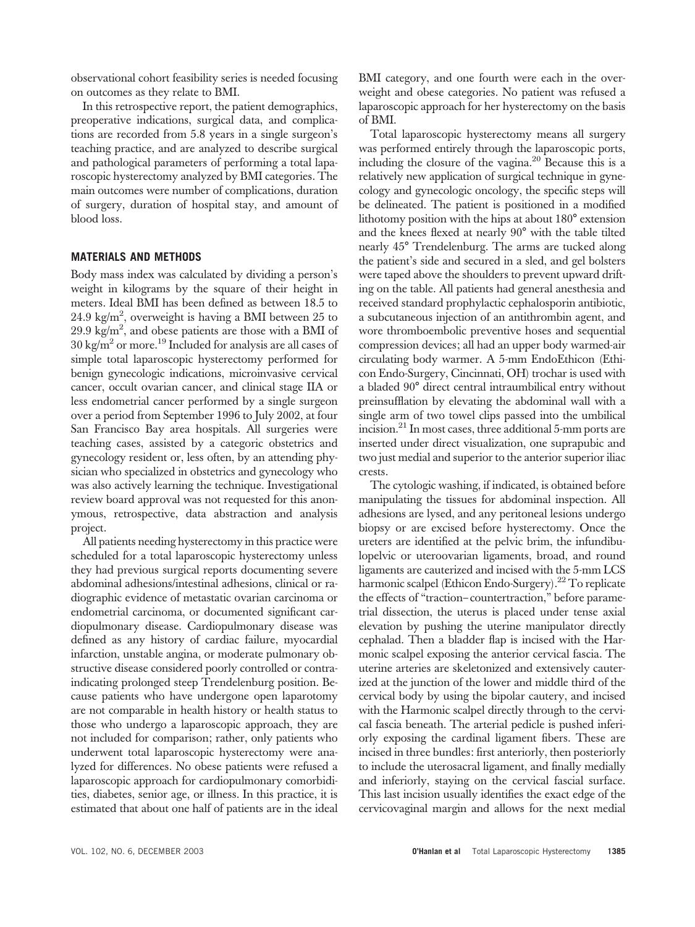observational cohort feasibility series is needed focusing on outcomes as they relate to BMI.

In this retrospective report, the patient demographics, preoperative indications, surgical data, and complications are recorded from 5.8 years in a single surgeon's teaching practice, and are analyzed to describe surgical and pathological parameters of performing a total laparoscopic hysterectomy analyzed by BMI categories. The main outcomes were number of complications, duration of surgery, duration of hospital stay, and amount of blood loss.

## **MATERIALS AND METHODS**

Body mass index was calculated by dividing a person's weight in kilograms by the square of their height in meters. Ideal BMI has been defined as between 18.5 to  $24.9 \text{ kg/m}^2$ , overweight is having a BMI between  $25$  to  $29.9 \text{ kg/m}^2$ , and obese patients are those with a BMI of  $30 \text{ kg/m}^2$  or more.<sup>19</sup> Included for analysis are all cases of simple total laparoscopic hysterectomy performed for benign gynecologic indications, microinvasive cervical cancer, occult ovarian cancer, and clinical stage IIA or less endometrial cancer performed by a single surgeon over a period from September 1996 to July 2002, at four San Francisco Bay area hospitals. All surgeries were teaching cases, assisted by a categoric obstetrics and gynecology resident or, less often, by an attending physician who specialized in obstetrics and gynecology who was also actively learning the technique. Investigational review board approval was not requested for this anonymous, retrospective, data abstraction and analysis project.

All patients needing hysterectomy in this practice were scheduled for a total laparoscopic hysterectomy unless they had previous surgical reports documenting severe abdominal adhesions/intestinal adhesions, clinical or radiographic evidence of metastatic ovarian carcinoma or endometrial carcinoma, or documented significant cardiopulmonary disease. Cardiopulmonary disease was defined as any history of cardiac failure, myocardial infarction, unstable angina, or moderate pulmonary obstructive disease considered poorly controlled or contraindicating prolonged steep Trendelenburg position. Because patients who have undergone open laparotomy are not comparable in health history or health status to those who undergo a laparoscopic approach, they are not included for comparison; rather, only patients who underwent total laparoscopic hysterectomy were analyzed for differences. No obese patients were refused a laparoscopic approach for cardiopulmonary comorbidities, diabetes, senior age, or illness. In this practice, it is estimated that about one half of patients are in the ideal BMI category, and one fourth were each in the overweight and obese categories. No patient was refused a laparoscopic approach for her hysterectomy on the basis of BMI.

Total laparoscopic hysterectomy means all surgery was performed entirely through the laparoscopic ports, including the closure of the vagina. $^{20}$  Because this is a relatively new application of surgical technique in gynecology and gynecologic oncology, the specific steps will be delineated. The patient is positioned in a modified lithotomy position with the hips at about 180° extension and the knees flexed at nearly 90° with the table tilted nearly 45° Trendelenburg. The arms are tucked along the patient's side and secured in a sled, and gel bolsters were taped above the shoulders to prevent upward drifting on the table. All patients had general anesthesia and received standard prophylactic cephalosporin antibiotic, a subcutaneous injection of an antithrombin agent, and wore thromboembolic preventive hoses and sequential compression devices; all had an upper body warmed-air circulating body warmer. A 5-mm EndoEthicon (Ethicon Endo-Surgery, Cincinnati, OH) trochar is used with a bladed 90° direct central intraumbilical entry without preinsufflation by elevating the abdominal wall with a single arm of two towel clips passed into the umbilical incision.<sup>21</sup> In most cases, three additional 5-mm ports are inserted under direct visualization, one suprapubic and two just medial and superior to the anterior superior iliac crests.

The cytologic washing, if indicated, is obtained before manipulating the tissues for abdominal inspection. All adhesions are lysed, and any peritoneal lesions undergo biopsy or are excised before hysterectomy. Once the ureters are identified at the pelvic brim, the infundibulopelvic or uteroovarian ligaments, broad, and round ligaments are cauterized and incised with the 5-mm LCS harmonic scalpel (Ethicon Endo-Surgery).<sup>22</sup> To replicate the effects of "traction–countertraction," before parametrial dissection, the uterus is placed under tense axial elevation by pushing the uterine manipulator directly cephalad. Then a bladder flap is incised with the Harmonic scalpel exposing the anterior cervical fascia. The uterine arteries are skeletonized and extensively cauterized at the junction of the lower and middle third of the cervical body by using the bipolar cautery, and incised with the Harmonic scalpel directly through to the cervical fascia beneath. The arterial pedicle is pushed inferiorly exposing the cardinal ligament fibers. These are incised in three bundles: first anteriorly, then posteriorly to include the uterosacral ligament, and finally medially and inferiorly, staying on the cervical fascial surface. This last incision usually identifies the exact edge of the cervicovaginal margin and allows for the next medial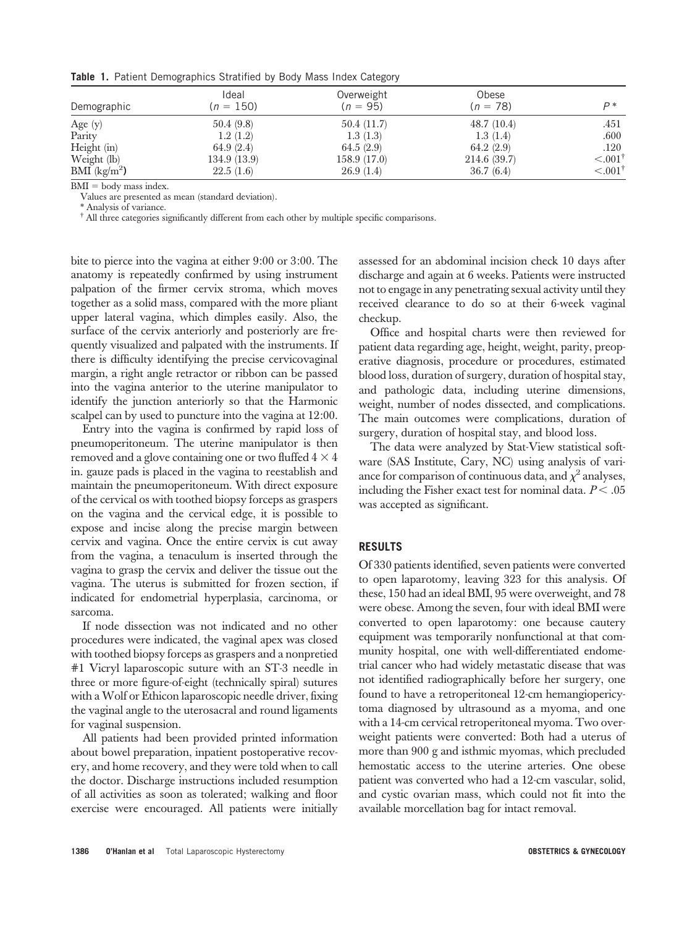<span id="page-2-0"></span>**Table 1.** Patient Demographics Stratified by Body Mass Index Category

| Demographic    | Ideal<br>$(n = 150)$ | Overweight<br>$(n = 95)$ | Obese<br>$(n = 78)$ | D *                   |
|----------------|----------------------|--------------------------|---------------------|-----------------------|
| Age $(y)$      | 50.4(9.8)            | 50.4(11.7)               | 48.7(10.4)          | .451                  |
| Parity         | 1.2(1.2)             | 1.3(1.3)                 | 1.3(1.4)            | .600                  |
| Height (in)    | 64.9(2.4)            | 64.5(2.9)                | 64.2(2.9)           | .120                  |
| Weight (lb)    | 134.9(13.9)          | 158.9 (17.0)             | 214.6 (39.7)        | $< .001$ <sup>†</sup> |
| BMI $(kg/m^2)$ | 22.5(1.6)            | 26.9(1.4)                | 36.7(6.4)           | $< .001$ <sup>†</sup> |

 $BMI = body$  mass index.

Values are presented as mean (standard deviation).

\* Analysis of variance.

† All three categories significantly different from each other by multiple specific comparisons.

bite to pierce into the vagina at either 9:00 or 3:00. The anatomy is repeatedly confirmed by using instrument palpation of the firmer cervix stroma, which moves together as a solid mass, compared with the more pliant upper lateral vagina, which dimples easily. Also, the surface of the cervix anteriorly and posteriorly are frequently visualized and palpated with the instruments. If there is difficulty identifying the precise cervicovaginal margin, a right angle retractor or ribbon can be passed into the vagina anterior to the uterine manipulator to identify the junction anteriorly so that the Harmonic scalpel can by used to puncture into the vagina at 12:00.

Entry into the vagina is confirmed by rapid loss of pneumoperitoneum. The uterine manipulator is then removed and a glove containing one or two fluffed  $4 \times 4$ in. gauze pads is placed in the vagina to reestablish and maintain the pneumoperitoneum. With direct exposure of the cervical os with toothed biopsy forceps as graspers on the vagina and the cervical edge, it is possible to expose and incise along the precise margin between cervix and vagina. Once the entire cervix is cut away from the vagina, a tenaculum is inserted through the vagina to grasp the cervix and deliver the tissue out the vagina. The uterus is submitted for frozen section, if indicated for endometrial hyperplasia, carcinoma, or sarcoma.

If node dissection was not indicated and no other procedures were indicated, the vaginal apex was closed with toothed biopsy forceps as graspers and a nonpretied #1 Vicryl laparoscopic suture with an ST-3 needle in three or more figure-of-eight (technically spiral) sutures with a Wolf or Ethicon laparoscopic needle driver, fixing the vaginal angle to the uterosacral and round ligaments for vaginal suspension.

All patients had been provided printed information about bowel preparation, inpatient postoperative recovery, and home recovery, and they were told when to call the doctor. Discharge instructions included resumption of all activities as soon as tolerated; walking and floor exercise were encouraged. All patients were initially assessed for an abdominal incision check 10 days after discharge and again at 6 weeks. Patients were instructed not to engage in any penetrating sexual activity until they received clearance to do so at their 6-week vaginal checkup.

Office and hospital charts were then reviewed for patient data regarding age, height, weight, parity, preoperative diagnosis, procedure or procedures, estimated blood loss, duration of surgery, duration of hospital stay, and pathologic data, including uterine dimensions, weight, number of nodes dissected, and complications. The main outcomes were complications, duration of surgery, duration of hospital stay, and blood loss.

The data were analyzed by Stat-View statistical software (SAS Institute, Cary, NC) using analysis of variance for comparison of continuous data, and  $\chi^2$  analyses, including the Fisher exact test for nominal data.  $P$   $<$  .05 was accepted as significant.

### **RESULTS**

Of 330 patients identified, seven patients were converted to open laparotomy, leaving 323 for this analysis. Of these, 150 had an ideal BMI, 95 were overweight, and 78 were obese. Among the seven, four with ideal BMI were converted to open laparotomy: one because cautery equipment was temporarily nonfunctional at that community hospital, one with well-differentiated endometrial cancer who had widely metastatic disease that was not identified radiographically before her surgery, one found to have a retroperitoneal 12-cm hemangiopericytoma diagnosed by ultrasound as a myoma, and one with a 14-cm cervical retroperitoneal myoma. Two overweight patients were converted: Both had a uterus of more than 900 g and isthmic myomas, which precluded hemostatic access to the uterine arteries. One obese patient was converted who had a 12-cm vascular, solid, and cystic ovarian mass, which could not fit into the available morcellation bag for intact removal.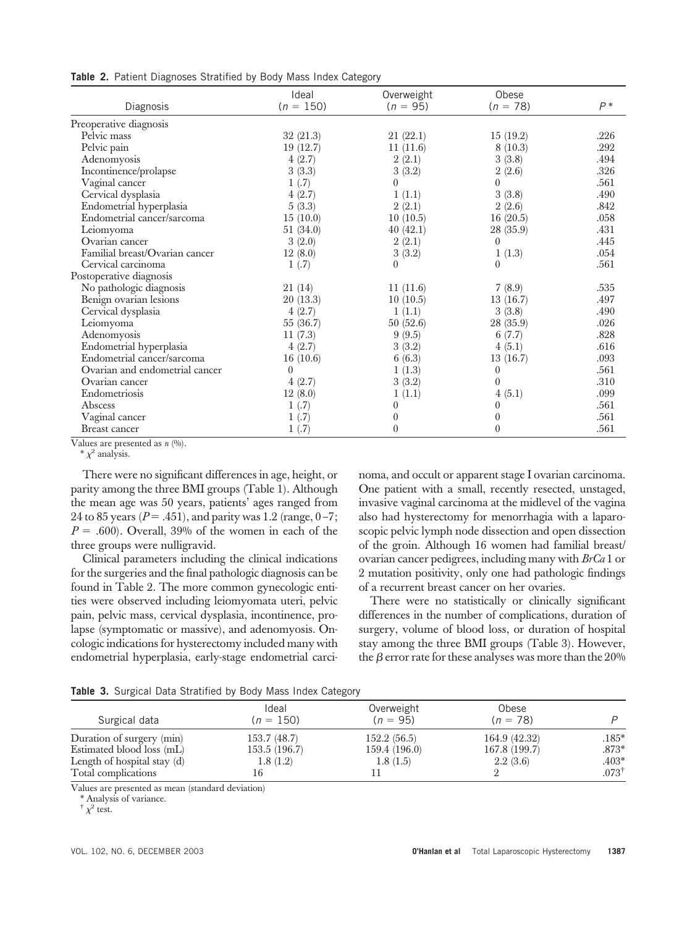**Table 2.** Patient Diagnoses Stratified by Body Mass Index Category

|                                | Ideal       | Overweight | Obese      |       |
|--------------------------------|-------------|------------|------------|-------|
| Diagnosis                      | $(n = 150)$ | $(n = 95)$ | $(n = 78)$ | $P^*$ |
| Preoperative diagnosis         |             |            |            |       |
| Pelvic mass                    | 32(21.3)    | 21(22.1)   | 15(19.2)   | .226  |
| Pelvic pain                    | 19(12.7)    | 11(11.6)   | 8(10.3)    | .292  |
| Adenomyosis                    | 4(2.7)      | 2(2.1)     | 3(3.8)     | .494  |
| Incontinence/prolapse          | 3(3.3)      | 3(3.2)     | 2(2.6)     | .326  |
| Vaginal cancer                 | 1(.7)       | 0          | $\theta$   | .561  |
| Cervical dysplasia             | 4(2.7)      | 1(1.1)     | 3(3.8)     | .490  |
| Endometrial hyperplasia        | 5(3.3)      | 2(2.1)     | 2(2.6)     | .842  |
| Endometrial cancer/sarcoma     | 15(10.0)    | 10(10.5)   | 16(20.5)   | .058  |
| Leiomyoma                      | 51 (34.0)   | 40(42.1)   | 28 (35.9)  | .431  |
| Ovarian cancer                 | 3(2.0)      | 2(2.1)     | $\theta$   | .445  |
| Familial breast/Ovarian cancer | 12(8.0)     | 3(3.2)     | 1(1.3)     | .054  |
| Cervical carcinoma             | 1(.7)       | $\theta$   | $\theta$   | .561  |
| Postoperative diagnosis        |             |            |            |       |
| No pathologic diagnosis        | 21(14)      | 11(11.6)   | 7(8.9)     | .535  |
| Benign ovarian lesions         | 20(13.3)    | 10(10.5)   | 13(16.7)   | .497  |
| Cervical dysplasia             | 4(2.7)      | 1(1.1)     | 3(3.8)     | .490  |
| Leiomyoma                      | 55 (36.7)   | 50(52.6)   | 28 (35.9)  | .026  |
| Adenomyosis                    | 11(7.3)     | 9(9.5)     | 6(7.7)     | .828  |
| Endometrial hyperplasia        | 4(2.7)      | 3(3.2)     | 4(5.1)     | .616  |
| Endometrial cancer/sarcoma     | 16(10.6)    | 6(6.3)     | 13(16.7)   | .093  |
| Ovarian and endometrial cancer | $\Omega$    | 1(1.3)     | $\theta$   | .561  |
| Ovarian cancer                 | 4(2.7)      | 3(3.2)     | 0          | .310  |
| Endometriosis                  | 12(8.0)     | 1(1.1)     | 4(5.1)     | .099  |
| Abscess                        | 1(.7)       | 0          | $\theta$   | .561  |
| Vaginal cancer                 | 1(.7)       | 0          | $\theta$   | .561  |
| Breast cancer                  | 1(0.7)      | 0          | $^{0}$     | .561  |

Values are presented as  $n(%)$ .

 $*\chi^2$  analysis.

There were no significant differences in age, height, or parity among the three BMI groups [\(Table 1\)](#page-2-0). Although the mean age was 50 years, patients' ages ranged from 24 to 85 years ( $P = .451$ ), and parity was 1.2 (range,  $0 - 7$ ;  $P = .600$ . Overall, 39% of the women in each of the three groups were nulligravid.

Clinical parameters including the clinical indications for the surgeries and the final pathologic diagnosis can be found in Table 2. The more common gynecologic entities were observed including leiomyomata uteri, pelvic pain, pelvic mass, cervical dysplasia, incontinence, prolapse (symptomatic or massive), and adenomyosis. Oncologic indications for hysterectomy included many with endometrial hyperplasia, early-stage endometrial carcinoma, and occult or apparent stage I ovarian carcinoma. One patient with a small, recently resected, unstaged, invasive vaginal carcinoma at the midlevel of the vagina also had hysterectomy for menorrhagia with a laparoscopic pelvic lymph node dissection and open dissection of the groin. Although 16 women had familial breast/ ovarian cancer pedigrees, including many with *BrCa* 1 or 2 mutation positivity, only one had pathologic findings of a recurrent breast cancer on her ovaries.

There were no statistically or clinically significant differences in the number of complications, duration of surgery, volume of blood loss, or duration of hospital stay among the three BMI groups (Table 3). However, the  $\beta$  error rate for these analyses was more than the  $20\%$ 

**Table 3.** Surgical Data Stratified by Body Mass Index Category

| Surgical data               | Ideal<br>$(n = 150)$ | Overweight<br>$(n = 95)$ | Obese<br>$(n = 78)$ |                  |
|-----------------------------|----------------------|--------------------------|---------------------|------------------|
| Duration of surgery (min)   | 153.7(48.7)          | 152.2(56.5)              | 164.9 (42.32)       | $.185*$          |
| Estimated blood loss (mL)   | 153.5(196.7)         | 159.4 (196.0)            | 167.8 (199.7)       | $.873*$          |
| Length of hospital stay (d) | 1.8(1.2)             | 1.8(1.5)                 | 2.2(3.6)            | $.403*$          |
| Total complications         |                      |                          |                     | $.073^{\dagger}$ |

Values are presented as mean (standard deviation)

\* Analysis of variance.

 $\dagger \chi^2$  test.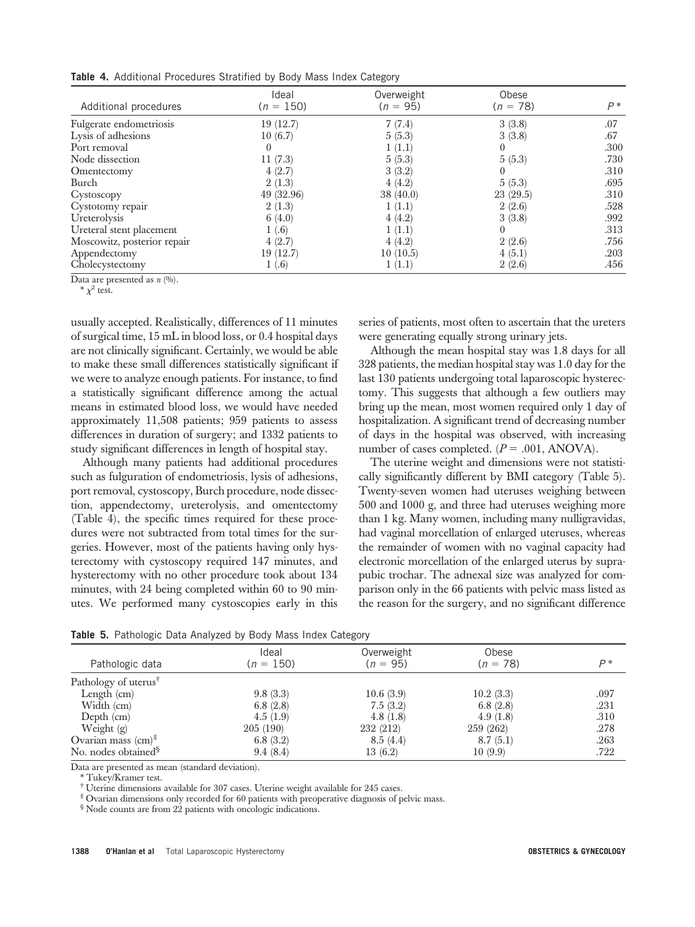**Table 4.** Additional Procedures Stratified by Body Mass Index Category

|                             | Ideal       | Overweight | Obese      |       |
|-----------------------------|-------------|------------|------------|-------|
| Additional procedures       | $(n = 150)$ | $(n = 95)$ | $(n = 78)$ | $P^*$ |
| Fulgerate endometriosis     | 19 (12.7)   | 7(7.4)     | 3(3.8)     | .07   |
| Lysis of adhesions          | 10(6.7)     | 5(5.3)     | 3(3.8)     | .67   |
| Port removal                |             | 1(1.1)     | $\theta$   | .300  |
| Node dissection             | 11(7.3)     | 5(5.3)     | 5(5.3)     | .730  |
| Omentectomy                 | 4(2.7)      | 3(3.2)     | $\theta$   | .310  |
| Burch                       | 2(1.3)      | 4(4.2)     | 5(5.3)     | .695  |
| Cystoscopy                  | 49 (32.96)  | 38 (40.0)  | 23(29.5)   | .310  |
| Cystotomy repair            | 2(1.3)      | 1(1.1)     | 2(2.6)     | .528  |
| Ureterolysis                | 6(4.0)      | 4(4.2)     | 3(3.8)     | .992  |
| Ureteral stent placement    | 1(.6)       | 1(1.1)     | $\theta$   | .313  |
| Moscowitz, posterior repair | 4(2.7)      | 4(4.2)     | 2(2.6)     | .756  |
| Appendectomy                | 19 (12.7)   | 10(10.5)   | 4(5.1)     | .203  |
| Cholecystectomy             | 1(.6)       | 1(1.1)     | 2(2.6)     | .456  |

Data are presented as  $n \left(\frac{0}{0}\right)$ .

 $*\chi^2$  test.

usually accepted. Realistically, differences of 11 minutes of surgical time, 15 mL in blood loss, or 0.4 hospital days are not clinically significant. Certainly, we would be able to make these small differences statistically significant if we were to analyze enough patients. For instance, to find a statistically significant difference among the actual means in estimated blood loss, we would have needed approximately 11,508 patients; 959 patients to assess differences in duration of surgery; and 1332 patients to study significant differences in length of hospital stay.

Although many patients had additional procedures such as fulguration of endometriosis, lysis of adhesions, port removal, cystoscopy, Burch procedure, node dissection, appendectomy, ureterolysis, and omentectomy (Table 4), the specific times required for these procedures were not subtracted from total times for the surgeries. However, most of the patients having only hysterectomy with cystoscopy required 147 minutes, and hysterectomy with no other procedure took about 134 minutes, with 24 being completed within 60 to 90 minutes. We performed many cystoscopies early in this series of patients, most often to ascertain that the ureters were generating equally strong urinary jets.

Although the mean hospital stay was 1.8 days for all 328 patients, the median hospital stay was 1.0 day for the last 130 patients undergoing total laparoscopic hysterectomy. This suggests that although a few outliers may bring up the mean, most women required only 1 day of hospitalization. A significant trend of decreasing number of days in the hospital was observed, with increasing number of cases completed.  $(P = .001, ANOVA)$ .

The uterine weight and dimensions were not statistically significantly different by BMI category (Table 5). Twenty-seven women had uteruses weighing between 500 and 1000 g, and three had uteruses weighing more than 1 kg. Many women, including many nulligravidas, had vaginal morcellation of enlarged uteruses, whereas the remainder of women with no vaginal capacity had electronic morcellation of the enlarged uterus by suprapubic trochar. The adnexal size was analyzed for comparison only in the 66 patients with pelvic mass listed as the reason for the surgery, and no significant difference

| Pathologic data                  | Ideal<br>$(n = 150)$ | Overweight<br>$(n = 95)$ | Obese<br>$(n = 78)$ | $P*$ |
|----------------------------------|----------------------|--------------------------|---------------------|------|
| Pathology of uterus <sup>†</sup> |                      |                          |                     |      |
| Length $(cm)$                    | 9.8(3.3)             | 10.6(3.9)                | 10.2(3.3)           | .097 |
| Width (cm)                       | 6.8(2.8)             | 7.5(3.2)                 | 6.8 $(2.8)$         | .231 |
| Depth $(cm)$                     | 4.5(1.9)             | 4.8(1.8)                 | 4.9(1.8)            | .310 |
| Weight $(g)$                     | 205 (190)            | 232 (212)                | 259 (262)           | .278 |
| Ovarian mass $(cm)^{\mp}$        | 6.8(3.2)             | 8.5(4.4)                 | 8.7(5.1)            | .263 |
| No. nodes obtained <sup>§</sup>  | 9.4(8.4)             | 13(6.2)                  | 10(9.9)             | .722 |

**Table 5.** Pathologic Data Analyzed by Body Mass Index Category

Data are presented as mean (standard deviation).

\* Tukey/Kramer test.

† Uterine dimensions available for 307 cases. Uterine weight available for 245 cases.

‡ Ovarian dimensions only recorded for 60 patients with preoperative diagnosis of pelvic mass.

§ Node counts are from 22 patients with oncologic indications.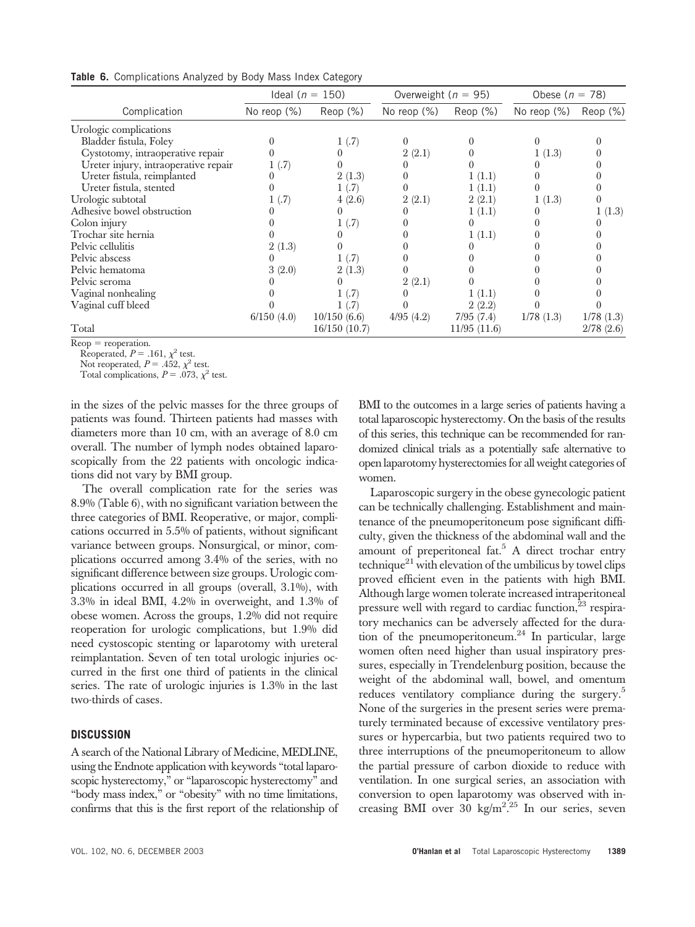| Table 6. Complications Analyzed by Body Mass Index Category |
|-------------------------------------------------------------|
|-------------------------------------------------------------|

|                                      | Ideal ( $n = 150$ ) |              | Overweight ( $n = 95$ ) |                     | Obese $(n = 78)$ |                     |
|--------------------------------------|---------------------|--------------|-------------------------|---------------------|------------------|---------------------|
| Complication                         | No reop $(\%)$      | Reop (%)     | No reop $(\%)$          | $\mathsf{Reop}(\%)$ | No reop $(\%)$   | $\mathsf{Reop}(\%)$ |
| Urologic complications               |                     |              |                         |                     |                  |                     |
| Bladder fistula, Foley               |                     | 1(.7)        |                         |                     |                  |                     |
| Cystotomy, intraoperative repair     |                     |              | 2(2.1)                  |                     | 1(1.3)           |                     |
| Ureter injury, intraoperative repair | 1(.7)               |              |                         |                     |                  |                     |
| Ureter fistula, reimplanted          |                     | 2(1.3)       |                         | 1(1.1)              |                  |                     |
| Ureter fistula, stented              |                     | 1(.7)        |                         | 1(1.1)              |                  |                     |
| Urologic subtotal                    | 1(0.7)              | 4(2.6)       | 2(2.1)                  | 2(2.1)              | 1(1.3)           |                     |
| Adhesive bowel obstruction           |                     |              |                         | 1(1.1)              |                  | 1(1.3)              |
| Colon injury                         |                     | 1(.7)        |                         |                     |                  |                     |
| Trochar site hernia                  |                     |              |                         | 1(1.1)              |                  |                     |
| Pelvic cellulitis                    | 2(1.3)              |              |                         |                     |                  |                     |
| Pelvic abscess                       |                     | 1(0.7)       |                         |                     |                  |                     |
| Pelvic hematoma                      | 3(2.0)              | 2(1.3)       |                         |                     |                  |                     |
| Pelvic seroma                        |                     |              | 2(2.1)                  |                     |                  |                     |
| Vaginal nonhealing                   |                     | 1(.7)        |                         | 1(1.1)              |                  |                     |
| Vaginal cuff bleed                   |                     | 1(.7)        |                         | 2(2.2)              |                  |                     |
|                                      | 6/150(4.0)          | 10/150(6.6)  | 4/95(4.2)               | 7/95(7.4)           | 1/78(1.3)        | 1/78(1.3)           |
| Total                                |                     | 16/150(10.7) |                         | 11/95(11.6)         |                  | 2/78(2.6)           |

 $Reop = reoperation.$ 

Not reoperated,  $P = .452$ ,  $\chi^2$  test.

Total complications,  $P = .073$ ,  $\chi^2$  test.

in the sizes of the pelvic masses for the three groups of patients was found. Thirteen patients had masses with diameters more than 10 cm, with an average of 8.0 cm overall. The number of lymph nodes obtained laparoscopically from the 22 patients with oncologic indications did not vary by BMI group.

The overall complication rate for the series was 8.9% (Table 6), with no significant variation between the three categories of BMI. Reoperative, or major, complications occurred in 5.5% of patients, without significant variance between groups. Nonsurgical, or minor, complications occurred among 3.4% of the series, with no significant difference between size groups. Urologic complications occurred in all groups (overall, 3.1%), with 3.3% in ideal BMI, 4.2% in overweight, and 1.3% of obese women. Across the groups, 1.2% did not require reoperation for urologic complications, but 1.9% did need cystoscopic stenting or laparotomy with ureteral reimplantation. Seven of ten total urologic injuries occurred in the first one third of patients in the clinical series. The rate of urologic injuries is 1.3% in the last two-thirds of cases.

## **DISCUSSION**

A search of the National Library of Medicine, MEDLINE, using the Endnote application with keywords "total laparoscopic hysterectomy," or "laparoscopic hysterectomy" and "body mass index," or "obesity" with no time limitations, confirms that this is the first report of the relationship of BMI to the outcomes in a large series of patients having a total laparoscopic hysterectomy. On the basis of the results of this series, this technique can be recommended for randomized clinical trials as a potentially safe alternative to open laparotomy hysterectomies for all weight categories of women.

Laparoscopic surgery in the obese gynecologic patient can be technically challenging. Establishment and maintenance of the pneumoperitoneum pose significant difficulty, given the thickness of the abdominal wall and the amount of preperitoneal fat.<sup>5</sup> A direct trochar entry technique $^{21}$  with elevation of the umbilicus by towel clips proved efficient even in the patients with high BMI. Although large women tolerate increased intraperitoneal pressure well with regard to cardiac function, $23$  respiratory mechanics can be adversely affected for the duration of the pneumoperitoneum. $^{24}$  In particular, large women often need higher than usual inspiratory pressures, especially in Trendelenburg position, because the weight of the abdominal wall, bowel, and omentum reduces ventilatory compliance during the surgery.<sup>5</sup> None of the surgeries in the present series were prematurely terminated because of excessive ventilatory pressures or hypercarbia, but two patients required two to three interruptions of the pneumoperitoneum to allow the partial pressure of carbon dioxide to reduce with ventilation. In one surgical series, an association with conversion to open laparotomy was observed with in-creasing BMI over 30 kg/m<sup>2</sup>.<sup>[25](#page-7-0)</sup> In our series, seven

Reoperated,  $P = .161$ ,  $\chi^2$  test.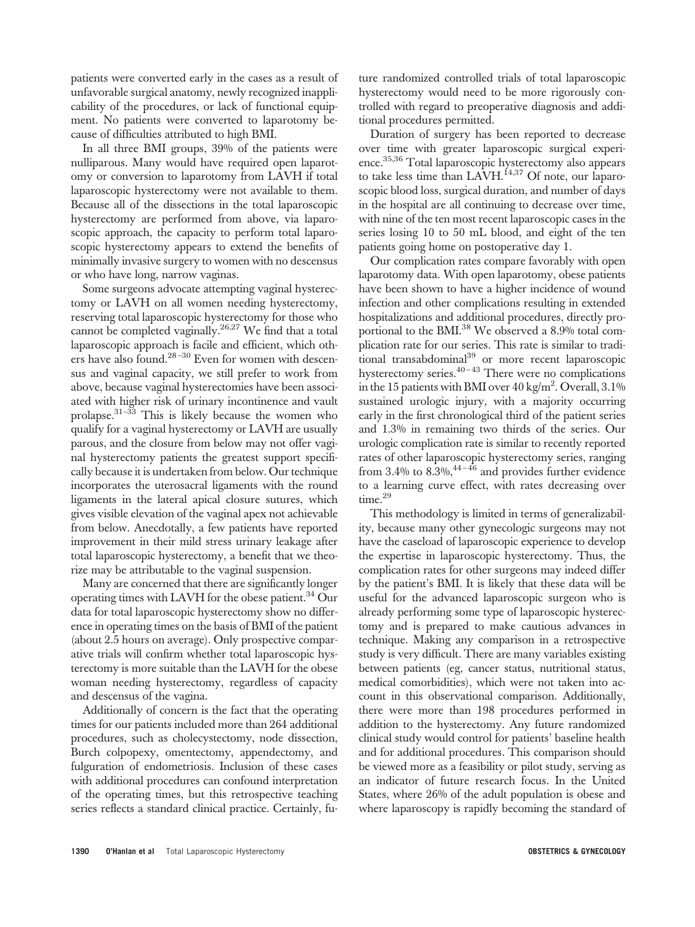patients were converted early in the cases as a result of unfavorable surgical anatomy, newly recognized inapplicability of the procedures, or lack of functional equipment. No patients were converted to laparotomy because of difficulties attributed to high BMI.

In all three BMI groups, 39% of the patients were nulliparous. Many would have required open laparotomy or conversion to laparotomy from LAVH if total laparoscopic hysterectomy were not available to them. Because all of the dissections in the total laparoscopic hysterectomy are performed from above, via laparoscopic approach, the capacity to perform total laparoscopic hysterectomy appears to extend the benefits of minimally invasive surgery to women with no descensus or who have long, narrow vaginas.

Some surgeons advocate attempting vaginal hysterectomy or LAVH on all women needing hysterectomy, reserving total laparoscopic hysterectomy for those who cannot be completed vaginally.<sup>26,27</sup> We find that a total laparoscopic approach is facile and efficient, which others have also found. $28-30$  Even for women with descensus and vaginal capacity, we still prefer to work from above, because vaginal hysterectomies have been associated with higher risk of urinary incontinence and vault prolapse[.31–33](#page-8-0) This is likely because the women who qualify for a vaginal hysterectomy or LAVH are usually parous, and the closure from below may not offer vaginal hysterectomy patients the greatest support specifically because it is undertaken from below. Our technique incorporates the uterosacral ligaments with the round ligaments in the lateral apical closure sutures, which gives visible elevation of the vaginal apex not achievable from below. Anecdotally, a few patients have reported improvement in their mild stress urinary leakage after total laparoscopic hysterectomy, a benefit that we theorize may be attributable to the vaginal suspension.

Many are concerned that there are significantly longer operating times with LAVH for the obese patient.<sup>34</sup> Our data for total laparoscopic hysterectomy show no difference in operating times on the basis of BMI of the patient (about 2.5 hours on average). Only prospective comparative trials will confirm whether total laparoscopic hysterectomy is more suitable than the LAVH for the obese woman needing hysterectomy, regardless of capacity and descensus of the vagina.

Additionally of concern is the fact that the operating times for our patients included more than 264 additional procedures, such as cholecystectomy, node dissection, Burch colpopexy, omentectomy, appendectomy, and fulguration of endometriosis. Inclusion of these cases with additional procedures can confound interpretation of the operating times, but this retrospective teaching series reflects a standard clinical practice. Certainly, future randomized controlled trials of total laparoscopic hysterectomy would need to be more rigorously controlled with regard to preoperative diagnosis and additional procedures permitted.

Duration of surgery has been reported to decrease over time with greater laparoscopic surgical experience.<sup>35,36</sup> Total laparoscopic hysterectomy also appears to take less time than  $LAVH.<sup>14,37</sup>$  Of note, our laparoscopic blood loss, surgical duration, and number of days in the hospital are all continuing to decrease over time, with nine of the ten most recent laparoscopic cases in the series losing 10 to 50 mL blood, and eight of the ten patients going home on postoperative day 1.

Our complication rates compare favorably with open laparotomy data. With open laparotomy, obese patients have been shown to have a higher incidence of wound infection and other complications resulting in extended hospitalizations and additional procedures, directly proportional to the BMI.<sup>38</sup> We observed a 8.9% total complication rate for our series. This rate is similar to traditional transabdominal<sup>39</sup> or more recent laparoscopic hysterectomy series[.40–43](#page-8-0) There were no complications in the 15 patients with BMI over  $40 \text{ kg/m}^2$ . Overall,  $3.1\%$ sustained urologic injury, with a majority occurring early in the first chronological third of the patient series and 1.3% in remaining two thirds of the series. Our urologic complication rate is similar to recently reported rates of other laparoscopic hysterectomy series, ranging from 3.4% to  $8.3\%$ ,  $44-46$  and provides further evidence to a learning curve effect, with rates decreasing over time.<sup>29</sup>

This methodology is limited in terms of generalizability, because many other gynecologic surgeons may not have the caseload of laparoscopic experience to develop the expertise in laparoscopic hysterectomy. Thus, the complication rates for other surgeons may indeed differ by the patient's BMI. It is likely that these data will be useful for the advanced laparoscopic surgeon who is already performing some type of laparoscopic hysterectomy and is prepared to make cautious advances in technique. Making any comparison in a retrospective study is very difficult. There are many variables existing between patients (eg, cancer status, nutritional status, medical comorbidities), which were not taken into account in this observational comparison. Additionally, there were more than 198 procedures performed in addition to the hysterectomy. Any future randomized clinical study would control for patients' baseline health and for additional procedures. This comparison should be viewed more as a feasibility or pilot study, serving as an indicator of future research focus. In the United States, where 26% of the adult population is obese and where laparoscopy is rapidly becoming the standard of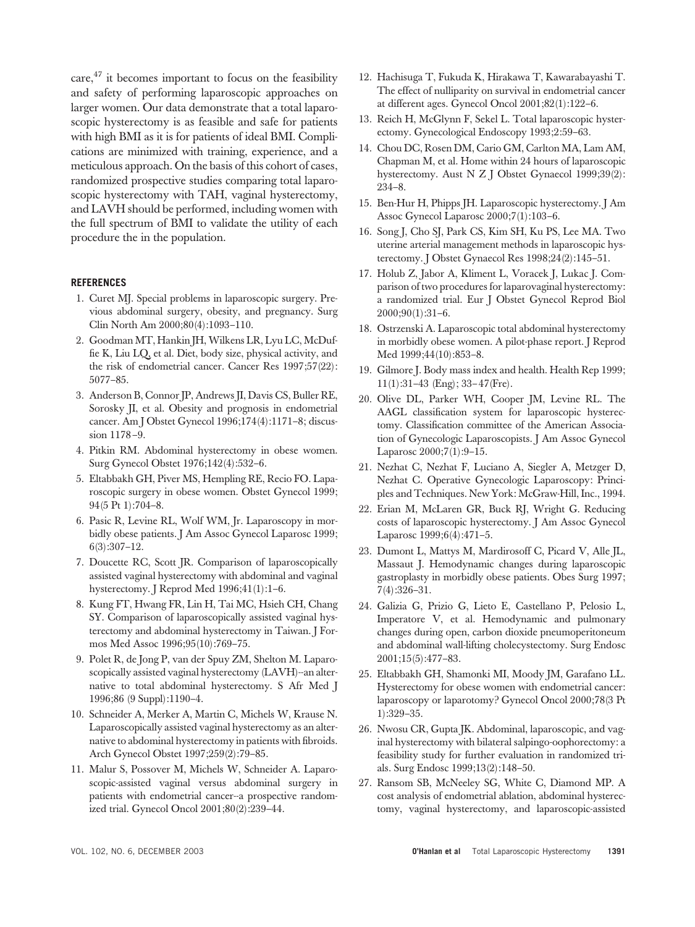<span id="page-7-0"></span>care, $47$  it becomes important to focus on the feasibility and safety of performing laparoscopic approaches on larger women. Our data demonstrate that a total laparoscopic hysterectomy is as feasible and safe for patients with high BMI as it is for patients of ideal BMI. Complications are minimized with training, experience, and a meticulous approach. On the basis of this cohort of cases, randomized prospective studies comparing total laparoscopic hysterectomy with TAH, vaginal hysterectomy, and LAVH should be performed, including women with the full spectrum of BMI to validate the utility of each procedure the in the population.

#### **REFERENCES**

- 1. Curet MJ. Special problems in laparoscopic surgery. Previous abdominal surgery, obesity, and pregnancy. Surg Clin North Am 2000;80(4):1093–110.
- 2. Goodman MT, Hankin JH, Wilkens LR, Lyu LC, McDuffie K, Liu LQ, et al. Diet, body size, physical activity, and the risk of endometrial cancer. Cancer Res 1997;57(22): 5077–85.
- 3. Anderson B, Connor JP, Andrews JI, Davis CS, Buller RE, Sorosky JI, et al. Obesity and prognosis in endometrial cancer. Am J Obstet Gynecol 1996;174(4):1171–8; discussion 1178–9.
- 4. Pitkin RM. Abdominal hysterectomy in obese women. Surg Gynecol Obstet 1976;142(4):532–6.
- 5. Eltabbakh GH, Piver MS, Hempling RE, Recio FO. Laparoscopic surgery in obese women. Obstet Gynecol 1999; 94(5 Pt 1):704–8.
- 6. Pasic R, Levine RL, Wolf WM, Jr. Laparoscopy in morbidly obese patients. J Am Assoc Gynecol Laparosc 1999; 6(3):307–12.
- 7. Doucette RC, Scott JR. Comparison of laparoscopically assisted vaginal hysterectomy with abdominal and vaginal hysterectomy. J Reprod Med 1996;41(1):1–6.
- 8. Kung FT, Hwang FR, Lin H, Tai MC, Hsieh CH, Chang SY. Comparison of laparoscopically assisted vaginal hysterectomy and abdominal hysterectomy in Taiwan. J Formos Med Assoc 1996;95(10):769–75.
- 9. Polet R, de Jong P, van der Spuy ZM, Shelton M. Laparoscopically assisted vaginal hysterectomy (LAVH)--an alternative to total abdominal hysterectomy. S Afr Med J 1996;86 (9 Suppl):1190–4.
- 10. Schneider A, Merker A, Martin C, Michels W, Krause N. Laparoscopically assisted vaginal hysterectomy as an alternative to abdominal hysterectomy in patients with fibroids. Arch Gynecol Obstet 1997;259(2):79–85.
- 11. Malur S, Possover M, Michels W, Schneider A. Laparoscopic-assisted vaginal versus abdominal surgery in patients with endometrial cancer--a prospective randomized trial. Gynecol Oncol 2001;80(2):239–44.
- 12. Hachisuga T, Fukuda K, Hirakawa T, Kawarabayashi T. The effect of nulliparity on survival in endometrial cancer at different ages. Gynecol Oncol 2001;82(1):122–6.
- 13. Reich H, McGlynn F, Sekel L. Total laparoscopic hysterectomy. Gynecological Endoscopy 1993;2:59–63.
- 14. Chou DC, Rosen DM, Cario GM, Carlton MA, Lam AM, Chapman M, et al. Home within 24 hours of laparoscopic hysterectomy. Aust N Z J Obstet Gynaecol 1999;39(2): 234–8.
- 15. Ben-Hur H, Phipps JH. Laparoscopic hysterectomy. J Am Assoc Gynecol Laparosc 2000;7(1):103–6.
- 16. Song J, Cho SJ, Park CS, Kim SH, Ku PS, Lee MA. Two uterine arterial management methods in laparoscopic hysterectomy. J Obstet Gynaecol Res 1998;24(2):145–51.
- 17. Holub Z, Jabor A, Kliment L, Voracek J, Lukac J. Comparison of two procedures for laparovaginal hysterectomy: a randomized trial. Eur J Obstet Gynecol Reprod Biol 2000;90(1):31–6.
- 18. Ostrzenski A. Laparoscopic total abdominal hysterectomy in morbidly obese women. A pilot-phase report. J Reprod Med 1999;44(10):853–8.
- 19. Gilmore J. Body mass index and health. Health Rep 1999; 11(1):31–43 (Eng); 33–47(Fre).
- 20. Olive DL, Parker WH, Cooper JM, Levine RL. The AAGL classification system for laparoscopic hysterectomy. Classification committee of the American Association of Gynecologic Laparoscopists. J Am Assoc Gynecol Laparosc 2000;7(1):9–15.
- 21. Nezhat C, Nezhat F, Luciano A, Siegler A, Metzger D, Nezhat C. Operative Gynecologic Laparoscopy: Principles and Techniques. New York: McGraw-Hill, Inc., 1994.
- 22. Erian M, McLaren GR, Buck RJ, Wright G. Reducing costs of laparoscopic hysterectomy. J Am Assoc Gynecol Laparosc 1999;6(4):471–5.
- 23. Dumont L, Mattys M, Mardirosoff C, Picard V, Alle JL, Massaut J. Hemodynamic changes during laparoscopic gastroplasty in morbidly obese patients. Obes Surg 1997; 7(4):326–31.
- 24. Galizia G, Prizio G, Lieto E, Castellano P, Pelosio L, Imperatore V, et al. Hemodynamic and pulmonary changes during open, carbon dioxide pneumoperitoneum and abdominal wall-lifting cholecystectomy. Surg Endosc 2001;15(5):477–83.
- 25. Eltabbakh GH, Shamonki MI, Moody JM, Garafano LL. Hysterectomy for obese women with endometrial cancer: laparoscopy or laparotomy? Gynecol Oncol 2000;78(3 Pt 1):329–35.
- 26. Nwosu CR, Gupta JK. Abdominal, laparoscopic, and vaginal hysterectomy with bilateral salpingo-oophorectomy: a feasibility study for further evaluation in randomized trials. Surg Endosc 1999;13(2):148–50.
- 27. Ransom SB, McNeeley SG, White C, Diamond MP. A cost analysis of endometrial ablation, abdominal hysterectomy, vaginal hysterectomy, and laparoscopic-assisted